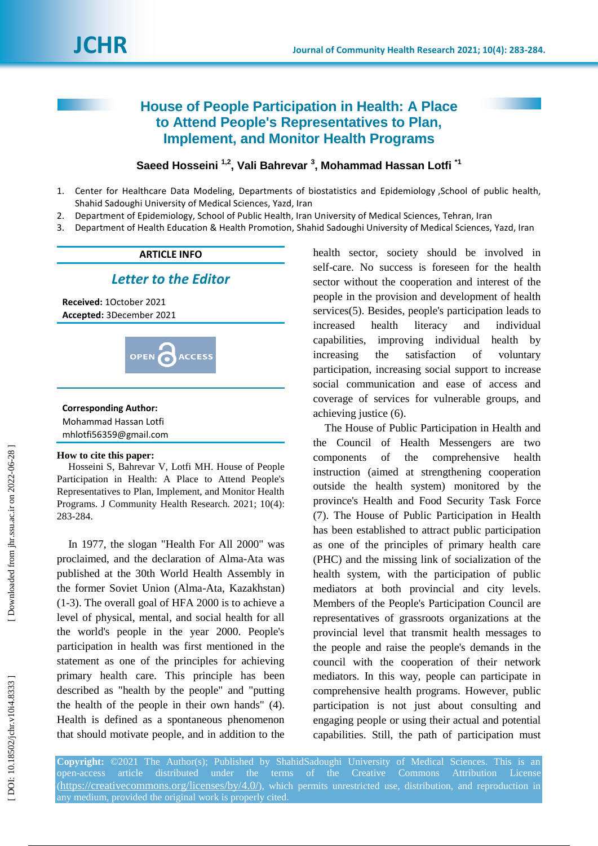# **House of People Participation in Health: A Place to Attend People's Representatives to Plan, Implement, and Monitor Health Programs**

## Saeed Hosseini<sup>1,2</sup>, Vali Bahrevar<sup>3</sup>, Mohammad Hassan Lotfi<sup>11</sup>

- 1 . Center for Healthcare Data Modeling, Departments of biostatistics and Epidemiology ,School of public health, Shahid Sadoughi University of Medical Sciences, Yazd, Iran
- $2.$ . Department of Epidemiology, School of Public Health, Iran University of Medical Sciences, Tehran, Iran
- 3 . Department of Health Education & Health Promotion, Shahid Sadoughi University of Medical Sciences, Yazd, Iran

### **ARTICLE INFO**

## *Letter to the Editor*

**Received:**  1October 2021 **Accepted:** 3December 202 1



# **Corresponding Author:**

Mohammad Hassan Lotfi mhlotfi56359@gmail.com

#### **How to cite this paper:**

Hosseini S, Bahrevar V, Lotfi MH . House of People Participation in Health: A Place to Attend People's Representatives to Plan, Implement, and Monitor Health Programs. J Community Health Research. 2021; 10(4): 283 -284 .

In 1977, the slogan "Health For All 2000" was proclaimed, and the declaration of Alma -Ata was published at the 30th World Health Assembly in the former Soviet Union (Alma -Ata, Kazakhstan) ( 1 - 3 ). The overall goal of HFA 2000 is to achieve a level of physical, mental, and social health for all the world's people in the year 2000. People's participation in health was first mentioned in the statement as one of the principles for achieving primary health care. This principle has been described as "health by the people" and "putting the health of the people in their own hands" ( 4 ). Health is defined as a spontaneous phenomenon that should motivate people, and in addition to the

health sector, society should be involved in self-care. No success is foreseen for the health sector without the cooperation and interest of the people in the provision and development of health services ( 5 ). Besides, people's participation leads to increased health literacy and individual capabilities, improving individual health by increasing the satisfaction of voluntary participation, increasing social support to increase social communication and ease of access and coverage of services for vulnerable groups, and achieving justice ( 6 ) .

The House of Public Participation in Health and the Council of Health Messengers are two components of the comprehensive health instruction (aimed at strengthening cooperation outside the health system) monitored by the province's Health and Food Security Task Force (7). The House of Public Participation in Health has been established to attract public participation as one of the principles of primary health care (PHC) and the missing link of socialization of the health system, with the participation of public mediators at both provincial and city levels. Members of the People's Participation Council are representatives of grassroots organizations at the provincial level that transmit health messages to the people and raise the people's demands in the council with the cooperation of their network mediators. In this way, people can participate in comprehensive health programs. However, public participation is not just about consulting and engaging people or using their actual and potential capabilities. Still, the path of participation must

**Copyright:** ©2021 The Author(s); Published by ShahidSadoughi University of Medical Sciences. This is an open-access article distributed under the terms of the Creative Commons Attribution License (https://creativecommons.org/licenses/by/4.0/), which permits unrestricted use, distribution, and reproduction in any medium, provided the original work is properly cited.